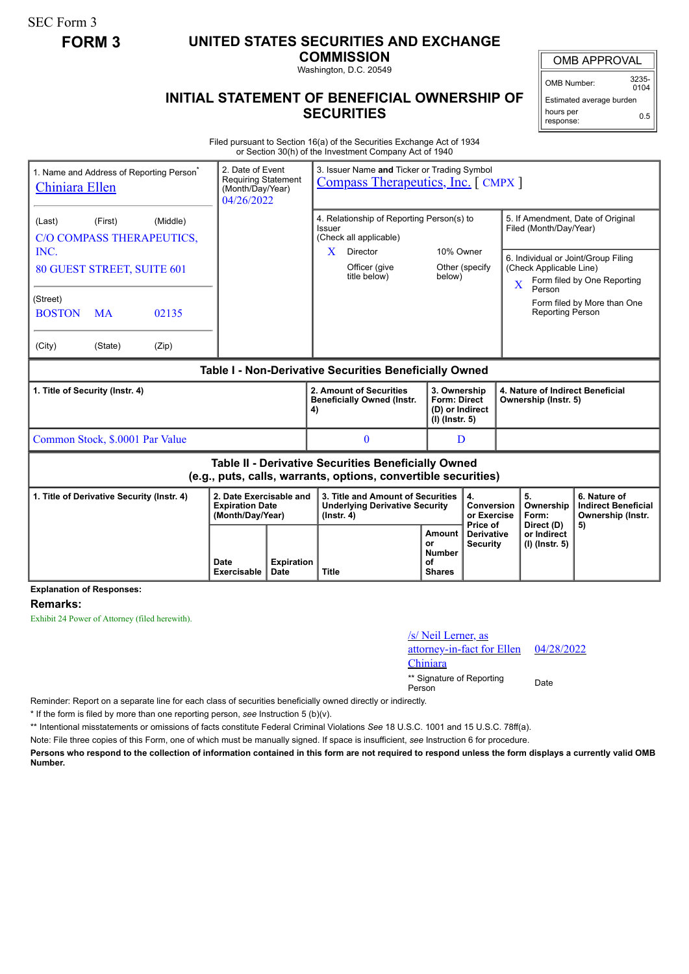SEC Form 3

## **FORM 3 UNITED STATES SECURITIES AND EXCHANGE**

**COMMISSION** Washington, D.C. 20549

## **INITIAL STATEMENT OF BENEFICIAL OWNERSHIP OF SECURITIES**

OMB APPROVAL

OMB Number: 3235-  $0104$ Estimated average burden

hours per response: 0.5

Filed pursuant to Section 16(a) of the Securities Exchange Act of 1934 or Section 30(h) of the Investment Company Act of 1940

| 2. Date of Event<br>1. Name and Address of Reporting Person <sup>*</sup><br><b>Requiring Statement</b><br><b>Chiniara Ellen</b><br>(Month/Day/Year)<br>04/26/2022                 |                            |                           | 3. Issuer Name and Ticker or Trading Symbol<br>Compass Therapeutics, Inc. [CMPX]                                                |                                                      |                                                                            |             |                                                                                        |                                                                                                                                        |  |
|-----------------------------------------------------------------------------------------------------------------------------------------------------------------------------------|----------------------------|---------------------------|---------------------------------------------------------------------------------------------------------------------------------|------------------------------------------------------|----------------------------------------------------------------------------|-------------|----------------------------------------------------------------------------------------|----------------------------------------------------------------------------------------------------------------------------------------|--|
| (Middle)<br>(Last)<br>(First)<br>C/O COMPASS THERAPEUTICS,<br>INC.<br>80 GUEST STREET, SUITE 601<br>(Street)<br><b>BOSTON</b><br><b>MA</b><br>02135<br>(City)<br>(Zip)<br>(State) |                            |                           | 4. Relationship of Reporting Person(s) to<br>Issuer<br>(Check all applicable)<br>Director<br>X<br>Officer (give<br>title below) | 10% Owner<br>below)                                  | Other (specify                                                             | $\mathbf X$ | Filed (Month/Day/Year)<br>(Check Applicable Line)<br>Person<br><b>Reporting Person</b> | 5. If Amendment, Date of Original<br>6. Individual or Joint/Group Filing<br>Form filed by One Reporting<br>Form filed by More than One |  |
| Table I - Non-Derivative Securities Beneficially Owned                                                                                                                            |                            |                           |                                                                                                                                 |                                                      |                                                                            |             |                                                                                        |                                                                                                                                        |  |
| 1. Title of Security (Instr. 4)                                                                                                                                                   |                            |                           | 2. Amount of Securities<br><b>Beneficially Owned (Instr.</b><br>4)                                                              |                                                      | 3. Ownership<br><b>Form: Direct</b><br>(D) or Indirect<br>$(I)$ (lnstr. 5) |             | 4. Nature of Indirect Beneficial<br>Ownership (Instr. 5)                               |                                                                                                                                        |  |
| Common Stock, \$.0001 Par Value                                                                                                                                                   |                            |                           | $\mathbf{0}$                                                                                                                    |                                                      | D                                                                          |             |                                                                                        |                                                                                                                                        |  |
| Table II - Derivative Securities Beneficially Owned<br>(e.g., puts, calls, warrants, options, convertible securities)                                                             |                            |                           |                                                                                                                                 |                                                      |                                                                            |             |                                                                                        |                                                                                                                                        |  |
| 1. Title of Derivative Security (Instr. 4)<br><b>Expiration Date</b><br>(Month/Day/Year)                                                                                          |                            | 2. Date Exercisable and   | 3. Title and Amount of Securities<br><b>Underlying Derivative Security</b><br>$($ lnstr. 4 $)$                                  |                                                      | 4.<br>Conversion<br>or Exercise                                            |             | 5.<br>Ownership<br>Form:                                                               | 6. Nature of<br><b>Indirect Beneficial</b><br>Ownership (Instr.                                                                        |  |
|                                                                                                                                                                                   | <b>Date</b><br>Exercisable | <b>Expiration</b><br>Date | <b>Title</b>                                                                                                                    | Amount<br>or<br><b>Number</b><br>οf<br><b>Shares</b> | Price of<br><b>Derivative</b><br><b>Security</b>                           |             | Direct (D)<br>or Indirect<br>(I) (Instr. 5)                                            | 5)                                                                                                                                     |  |

**Explanation of Responses:**

**Remarks:**

Exhibit 24 Power of Attorney (filed herewith).

## /s/ Neil Lerner, as attorney-in-fact for Ellen Chiniara 04/28/2022

\*\* Signature of Reporting <sub>Date</sub><br>Person

Reminder: Report on a separate line for each class of securities beneficially owned directly or indirectly.

\* If the form is filed by more than one reporting person, *see* Instruction 5 (b)(v).

\*\* Intentional misstatements or omissions of facts constitute Federal Criminal Violations *See* 18 U.S.C. 1001 and 15 U.S.C. 78ff(a).

Note: File three copies of this Form, one of which must be manually signed. If space is insufficient, *see* Instruction 6 for procedure.

**Persons who respond to the collection of information contained in this form are not required to respond unless the form displays a currently valid OMB Number.**